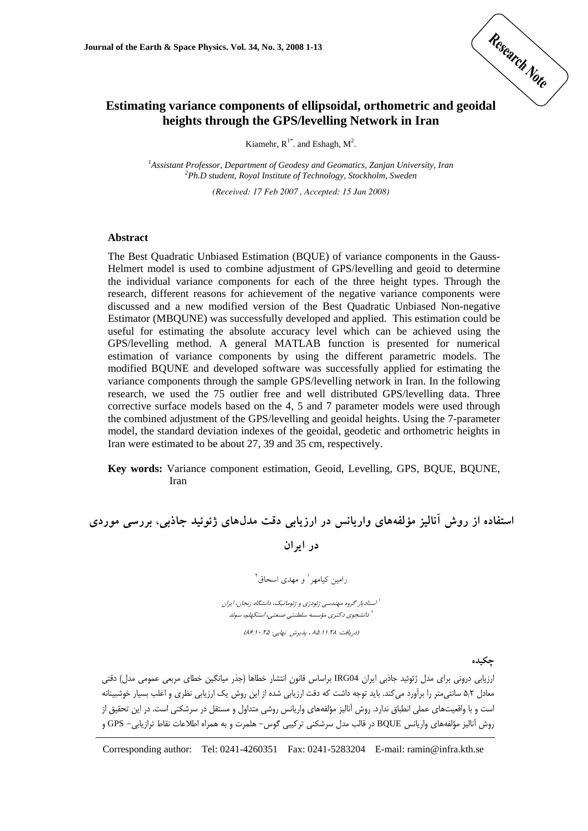

# **Estimating variance components of ellipsoidal, orthometric and geoidal heights through the GPS/levelling Network in Iran**

Kiamehr,  $R^{1*}$ . and Eshagh,  $M^2$ .

<sup>1</sup> Assistant Professor, Department of Geodesy and Geomatics, Zanjan University, Iran <sup>2</sup> Ph D student. Poval Institute of Technology, Steelthelm, Syeden *Ph.D student, Royal Institute of Technology, Stockholm, Sweden* 

*(Received: 17 Feb 2007 , Accepted: 15 Jan 2008)* 

#### **Abstract**

The Best Quadratic Unbiased Estimation (BQUE) of variance components in the Gauss-Helmert model is used to combine adjustment of GPS/levelling and geoid to determine the individual variance components for each of the three height types. Through the research, different reasons for achievement of the negative variance components were discussed and a new modified version of the Best Quadratic Unbiased Non-negative Estimator (MBQUNE) was successfully developed and applied. This estimation could be useful for estimating the absolute accuracy level which can be achieved using the GPS/levelling method. A general MATLAB function is presented for numerical estimation of variance components by using the different parametric models. The modified BQUNE and developed software was successfully applied for estimating the variance components through the sample GPS/levelling network in Iran. In the following research, we used the 75 outlier free and well distributed GPS/levelling data. Three corrective surface models based on the 4, 5 and 7 parameter models were used through the combined adjustment of the GPS/levelling and geoidal heights. Using the 7-parameter model, the standard deviation indexes of the geoidal, geodetic and orthometric heights in Iran were estimated to be about 27, 39 and 35 cm, respectively.

**Key words:** Variance component estimation, Geoid, Levelling, GPS, BQUE, BQUNE, Iran

**استفاده از روش آناليز مؤلفههاي واريانس در ارزيابي دقت مدلهاي ژئوئيد جاذبي، بررسي موردي در ايران**

رامين كيامهر<sup>ا</sup> و مهدى اسحاق<sup>٢</sup>

استاديار گروه مهندسي ژئودزي <sup>و</sup> ژئوماتيك، دانشگاه زنجان، ايران <sup>1</sup> دانشجوي دكتري مؤسسه سلطنتي صنعتي، استكهلم، سوئد <sup>2</sup>

(دريافت: ۱٫۲۸ ، ۱٫۸۵ ، پذيرش نهايي: ۱۰٫۲۵ (۱۶٫۶)

**چكيده**

ارزيابي دروني براي مدل ژئوئيد جاذبي ايران 04IRG براساس قانون انتشار خطاها (جذر ميانگين خطاي مربعي عمومي مدل) دقتي معادل 5/2 سانتيمتر را برآورد ميكند. بايد توجه داشت كه دقت ارزيابي شده از اين روش يك ارزيابي نظري و اغلب بسيار خوشبينانه است و با واقعيتهاي عملي انطباق ندارد. روش آناليز مؤلفههاي واريانس روشي متداول و مستقل در سرشكني است. در اين تحقيق از روش آناليز مؤلفههاي واريانس BQUE در قالب مدل سرشكني تركيبي گوس- هلمرت و به همراه اطلاعات نقاط ترازيابي- GPS و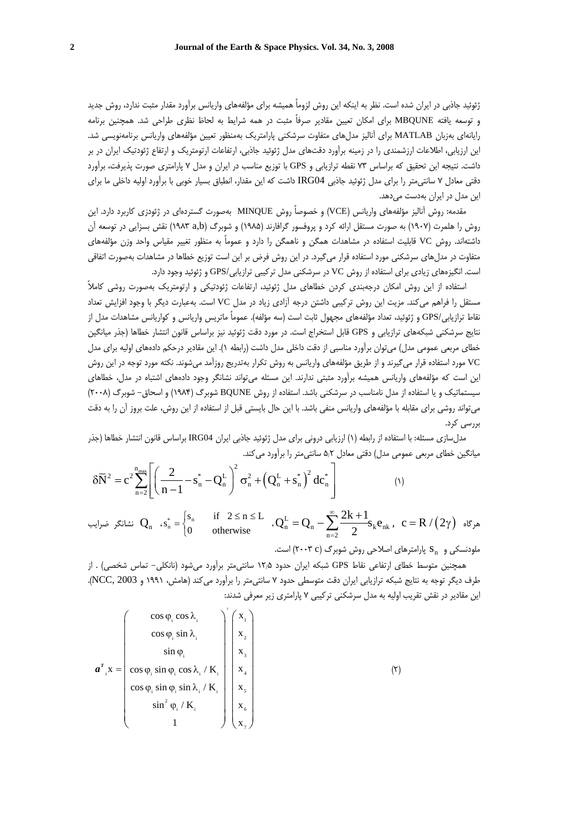ژئوئيد جاذبي در ايران شده است. نظر به اينكه اين روش لزوماً هميشه براي مؤلفههاي واريانس برآورد مقدار مثبت ندارد، روش جديد و توسعه يافته MBQUNE براي امكان تعيين مقادير صرفاً مثبت در همه شرايط به لحاظ نظري طراحي شد. همچنين برنامه رايانهاي بهزبان MATLAB براي آناليز مدلهاي متفاوت سرشكني پارامتريك بهمنظور تعيين مؤلفههاي واريانس برنامهنويسي شد. اين ارزيابي، اطلاعات ارزشمندي را در زمينه برآورد دقتهاي مدل ژئوئيد جاذبي، ارتفاعات ارتومتريك و ارتفاع ژئودتيك ايران در بر داشت. نتيجه اين تحقيق كه براساس 73 نقطه ترازيابي و GPS با توزيع مناسب در ايران و مدل 7 پارامتري صورت پذيرفت، برآورد دقتي معادل 7 سانتيمتر را براي مدل ژئوئيد جاذبي 04IRG داشت كه اين مقدار، انطباق بسيار خوبي با برآورد اوليه داخلي ما براي اين مدل در ايران بهدست ميدهد.

مقدمه: روش آناليز مؤلفههاي واريانس (VCE (و خصوصاً روش MINQUE بهصورت گستردهاي در ژئودزي كاربرد دارد. اين روش را هلمرت (1907) به صورت مستقل ارائه كرد و پروفسور گرافارند (1985) و شوبرگ (b,a 1983 (نقش بسزايي در توسعه آن داشتهاند. روش VC قابليت استفاده در مشاهدات همگن و ناهمگن را دارد و عموماً به منظور تغيير مقياس واحد وزن مؤلفههاي متفاوت در مدلهاي سرشكني مورد استفاده قرار ميگيرد. در اين روش فرض بر اين است توزيع خطاها در مشاهدات بهصورت اتفاقي است. انگيزههاي زيادي براي استفاده از روش VC در سرشكني مدل تركيبي ترازيابي/GPS و ژئوئيد وجود دارد.

استفاده از اين روش امكان درجهبندي كردن خطاهاي مدل ژئوئيد، ارتفاعات ژئودتيكي و ارتومتريك بهصورت روشي كاملاً مستقل را فراهم ميكند. مزيت اين روش تركيبي داشتن درجه آزادي زياد در مدل VC است. بهعبارت ديگر با وجود افزايش تعداد نقاط ترازيابي/GPS و ژئوئيد، تعداد مؤلفههاي مجهول ثابت است (سه مؤلفه). عموماً ماتريس واريانس و كواريانس مشاهدات مدل از نتايج سرشكني شبكههاي ترازيابي و GPS قابل استخراج است. در مورد دقت ژئوئيد نيز براساس قانون انتشار خطاها (جذر ميانگين خطاي مربعي عمومي مدل) ميتوان برآورد مناسبي از دقت داخلي مدل داشت (رابطه 1). اين مقادير درحكم دادههاي اوليه براي مدل VC مورد استفاده قرار ميگيرند و از طريق مؤلفههاي واريانس به روش تكرار بهتدريج روزآمد ميشوند. نكته مورد توجه در اين روش اين است كه مؤلفههاي واريانس هميشه برآورد مثبتي ندارند. اين مسئله ميتواند نشانگر وجود دادههاي اشتباه در مدل، خطاهاي سيستماتيك و يا استفاده از مدل نامناسب در سرشكني باشد. استفاده از روش BQUNE شوبرگ (1984) و اسحاق- شوبرگ (2008) ميتواند روشي براي مقابله با مؤلفههاي واريانس منفي باشد. با اين حال بايستي قبل از استفاده از اين روش، علت بروز آن را به دقت بررسي كرد.

مدلسازي مسئله: با استفاده از رابطه (1) ارزيابي دروني براي مدل ژئوئيد جاذبي ايران 04IRG براساس قانون انتشار خطاها (جذر ميانگين خطاي مربعي عمومي مدل) دقتي معادل 5/2 سانتيمتر را برآورد ميكند.

$$
\delta \overline{N}^2 = c^2 \sum_{n=2}^{n_{max}} \left[ \left( \frac{2}{n-1} - s_n^* - Q_n^L \right)^2 \sigma_n^2 + \left( Q_n^L + s_n^* \right)^2 d c_n^* \right] \tag{1}
$$

 $\Gamma_{\rm n}^{\rm L} = {\rm Q}_{\rm n} - \sum \frac{\angle \mathbf{A} + \mathbf{I}}{2} \mathbf{s}_{\rm k} \mathbf{e}_{\rm n k} \,, \ \ \mathbf{c} = {\rm R}\,/\big(2\gamma\big) \,\,\,$ هرگاه  $Q_n^L = Q_n - \sum_{n=2}^{\infty} \frac{2k+1}{2} s_k e$  $P_n^* = \begin{cases} S_n & \text{if } 2 \le n \le L \\ 0 & \text{otherwise} \end{cases}$   $Q_n^L = Q_n - \sum_{n=2}^{\infty} \frac{2k + 1}{2}$  $s_n^* = \begin{cases} s_n & \text{if } 2 \le n \le L \\ 0 & \text{otherwise} \end{cases}$ نشانگر ضرایب  $\mathbf{Q}_\mathrm{n}$  ،  $\mathrm{s}_\mathrm{n}^* = \left\{ \begin{array}{ccc} \end{array} \right.$ ، ملودنسكي و  $S_n$  پارامترهاي اصلاحي روش شوبرگ (٢٠٠٣ c است.

همچنين متوسط خطاي ارتفاعي نقاط GPS شبكه ايران حدود 12/5 سانتيمتر برآورد ميشود (نانكلي- تماس شخصي) . از طرف ديگر توجه به نتايج شبكه ترازيابي ايران دقت متوسطي حدود 7 سانتيمتر را برآورد ميكند (هامش، 1991 و 2003 ,NCC(. اين مقادير در نقش تقريب اوليه به مدل سرشكني تركيبي 7 پارامتري زير معرفي شدند:

$$
\mathbf{a}^{T} \cdot \mathbf{x} = \begin{pmatrix} \cos \varphi_{i} \cos \lambda_{i} \\ \cos \varphi_{i} \sin \lambda_{i} \\ \sin \varphi_{i} \\ \cos \varphi_{i} \sin \varphi_{i} \cos \lambda_{i} / K_{i} \\ \cos \varphi_{i} \sin \varphi_{i} \sin \lambda_{i} / K_{i} \\ \sin^{2} \varphi_{i} / K_{i} \\ 1 \end{pmatrix} \begin{pmatrix} x_{1} \\ x_{2} \\ x_{3} \\ x_{4} \\ x_{5} \\ x_{6} \\ x_{7} \end{pmatrix}
$$
(7)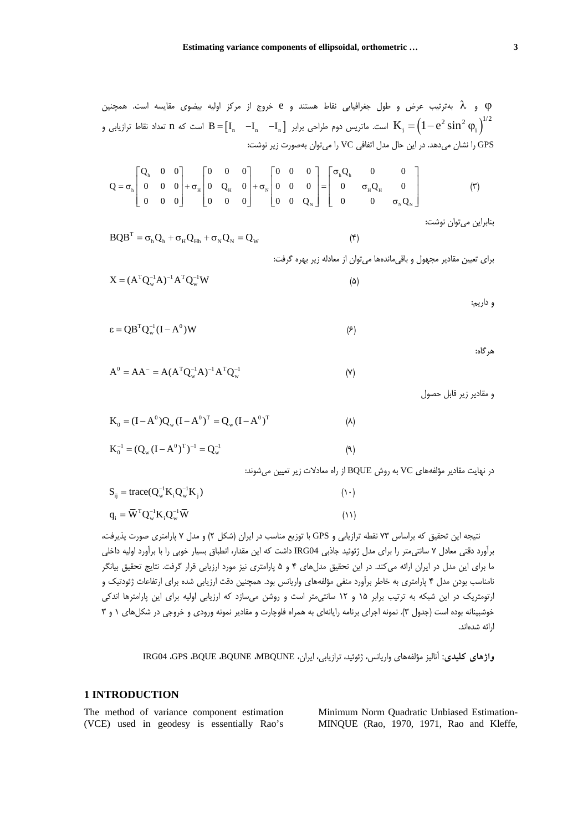ϕ و λ بهترتيب عرض و طول جغرافيايي نقاط هستند و e خروج از مركز اوليه بيضوي مقايسه است. همچنين است. ماتريس دوم طراحى برابر  $\rm{I}_n$   $\rm{I}_n$   $\rm{I}_n = \rm{I}_n$  است كه n تعداد نقاط ترازيابى و  $\rm{K}_i = \rm{\left(1-e^2\sin^2\phi_i\right)}^{1/2}$ GPS را نشان ميدهد. در اين حال مدل اتفافي VC را ميتوان بهصورت زير نوشت:

|  |  |  |  |  |  |  | $Q = \sigma_h \begin{bmatrix} Q_h & 0 & 0 \\ 0 & 0 & 0 \\ 0 & 0 & 0 \end{bmatrix} + \sigma_H \begin{bmatrix} 0 & 0 & 0 \\ 0 & Q_H & 0 \\ 0 & 0 & 0 \end{bmatrix} + \sigma_N \begin{bmatrix} 0 & 0 & 0 \\ 0 & 0 & 0 \\ 0 & 0 & 0 \end{bmatrix} = \begin{bmatrix} \sigma_h Q_h & 0 & 0 \\ 0 & \sigma_H Q_H & 0 \\ 0 & 0 & 0 \end{bmatrix}$ |                                                                                                                                                                                                                                                                                                | $(\tilde{\mathbf{r}})$ |
|--|--|--|--|--|--|--|------------------------------------------------------------------------------------------------------------------------------------------------------------------------------------------------------------------------------------------------------------------------------------------------------------------------------------------|------------------------------------------------------------------------------------------------------------------------------------------------------------------------------------------------------------------------------------------------------------------------------------------------|------------------------|
|  |  |  |  |  |  |  |                                                                                                                                                                                                                                                                                                                                          | $\begin{bmatrix} 0 & 0 \end{bmatrix}$ $\begin{bmatrix} 0 & 0 & 0 \end{bmatrix}$ $\begin{bmatrix} 0 & 0 & \mathbf{Q}_{\scriptscriptstyle{\mathrm{N}}} \end{bmatrix}$ $\begin{bmatrix} 0 & 0 & \sigma_{\scriptscriptstyle{\mathrm{N}}}\mathbf{Q}_{\scriptscriptstyle{\mathrm{N}}} \end{bmatrix}$ |                        |

بنابراين ميتوان نوشت:

$$
BQB^{T} = \sigma_{h}Q_{h} + \sigma_{H}Q_{Hh} + \sigma_{N}Q_{N} = Q_{W}
$$
\n<sup>(\*)</sup>

براي تعيين مقادير مجهول و باقيماندهها ميتوان از معادله زير بهره گرفت:

$$
\mathbf{X} = (\mathbf{A}^{\mathrm{T}} \mathbf{Q}_{\mathrm{w}}^{-1} \mathbf{A})^{-1} \mathbf{A}^{\mathrm{T}} \mathbf{Q}_{\mathrm{w}}^{-1} \mathbf{W}
$$
 (4)

و داريم:

هرگاه:

$$
\varepsilon = QB^TQ_w^{-1}(I - A^0)W
$$
 (5)

 $A^{0} = AA^{-} = A(A^{T}Q_{w}^{-1}A)^{-1}A^{T}Q_{w}^{-1}$  (Y)

و مقادير زير قابل حصول

$$
K_0 = (I - A^0)Q_w (I - A^0)^T = Q_w (I - A^0)^T
$$
  
\n
$$
K_0^{-1} = (Q_w (I - A^0)^T)^{-1} = Q_w^{-1}
$$
\n(4)

در نهايت مقادير مؤلفههاي VC به روش BQUE از راه معادلات زير تعيين ميشوند:

| $S_{ij} = \text{trace}(Q_w^{-1}K_iQ_w^{-1}K_j)$                                                                                                  | (1)  |
|--------------------------------------------------------------------------------------------------------------------------------------------------|------|
| $\mathbf{q}_i = \overline{\mathbf{W}}^{\mathrm{T}} \mathbf{Q}_{\mathrm{w}}^{-1} \mathbf{K}_i \mathbf{Q}_{\mathrm{w}}^{-1} \overline{\mathbf{W}}$ | (11) |

نتيجه اين تحقيق كه براساس 73 نقطه ترازيابي و GPS با توزيع مناسب در ايران (شكل 2) و مدل 7 پارامتري صورت پذيرفت، برآورد دقتي معادل 7 سانتيمتر را براي مدل ژئوئيد جاذبي 04IRG داشت كه اين مقدار، انطباق بسيار خوبي را با برآورد اوليه داخلي ما براي اين مدل در ايران ارائه ميكند. در اين تحقيق مدلهاي 4 و 5 پارامتري نيز مورد ارزيابي قرار گرفت. نتايج تحقيق بيانگر نامناسب بودن مدل 4 پارامتري به خاطر برآورد منفي مؤلفههاي واريانس بود. همچنين دقت ارزيابي شده براي ارتفاعات ژئودتيك و ارتومتريك در اين شبكه به ترتيب برابر 15 و 12 سانتيمتر است و روشن ميسازد كه ارزيابي اوليه براي اين پارامترها اندكي خوشبينانه بوده است (جدول 3). نمونه اجراي برنامه رايانهاي به همراه فلوچارت و مقادير نمونه ورودي و خروجي در شكلهاي 1 و 3 ارائه شدهاند.

**واژهاي كليدي:** آناليز مؤلفههاي واريانس، ژئوئيد، ترازيابي، ايران، MBQUNE، BQUNE، BQUE، GPS، 04IRG

#### **1 INTRODUCTION**

The method of variance component estimation (VCE) used in geodesy is essentially Rao's Minimum Norm Quadratic Unbiased Estimation-MINQUE (Rao, 1970, 1971, Rao and Kleffe,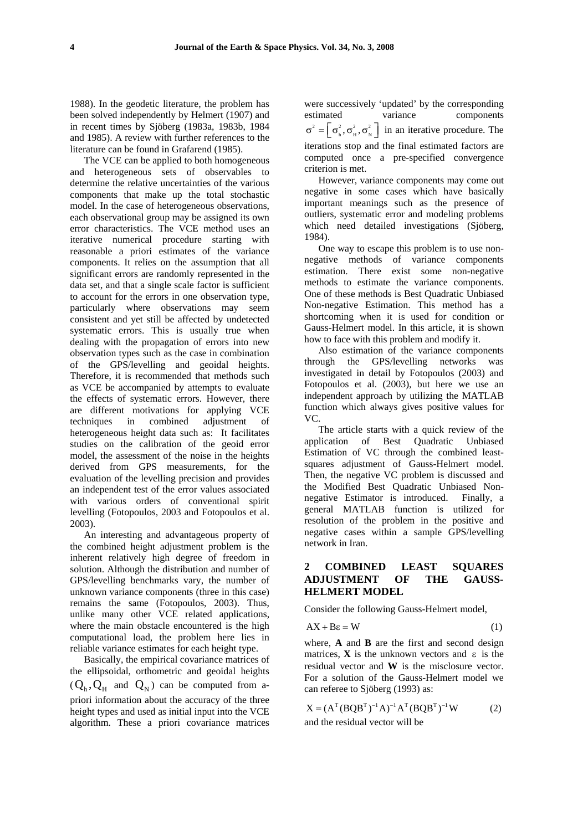1988). In the geodetic literature, the problem has been solved independently by Helmert (1907) and in recent times by Sjöberg (1983a, 1983b, 1984 and 1985). A review with further references to the literature can be found in Grafarend (1985).

The VCE can be applied to both homogeneous and heterogeneous sets of observables to determine the relative uncertainties of the various components that make up the total stochastic model. In the case of heterogeneous observations, each observational group may be assigned its own error characteristics. The VCE method uses an iterative numerical procedure starting with reasonable a priori estimates of the variance components. It relies on the assumption that all significant errors are randomly represented in the data set, and that a single scale factor is sufficient to account for the errors in one observation type, particularly where observations may seem consistent and yet still be affected by undetected systematic errors. This is usually true when dealing with the propagation of errors into new observation types such as the case in combination of the GPS/levelling and geoidal heights. Therefore, it is recommended that methods such as VCE be accompanied by attempts to evaluate the effects of systematic errors. However, there are different motivations for applying VCE techniques in combined adjustment of heterogeneous height data such as: It facilitates studies on the calibration of the geoid error model, the assessment of the noise in the heights derived from GPS measurements, for the evaluation of the levelling precision and provides an independent test of the error values associated with various orders of conventional spirit levelling (Fotopoulos, 2003 and Fotopoulos et al. 2003).

An interesting and advantageous property of the combined height adjustment problem is the inherent relatively high degree of freedom in solution. Although the distribution and number of GPS/levelling benchmarks vary, the number of unknown variance components (three in this case) remains the same (Fotopoulos, 2003). Thus, unlike many other VCE related applications, where the main obstacle encountered is the high computational load, the problem here lies in reliable variance estimates for each height type.

Basically, the empirical covariance matrices of the ellipsoidal, orthometric and geoidal heights  $(Q_h, Q_H$  and  $Q_N$ ) can be computed from apriori information about the accuracy of the three height types and used as initial input into the VCE algorithm. These a priori covariance matrices

were successively 'updated' by the corresponding estimated variance components  $\sigma^2 = \left[ \sigma_h^2, \sigma_H^2, \sigma_N^2 \right]$  in an iterative procedure. The iterations stop and the final estimated factors are computed once a pre-specified convergence criterion is met.

However, variance components may come out negative in some cases which have basically important meanings such as the presence of outliers, systematic error and modeling problems which need detailed investigations (Sjöberg, 1984).

One way to escape this problem is to use nonnegative methods of variance components estimation. There exist some non-negative methods to estimate the variance components. One of these methods is Best Quadratic Unbiased Non-negative Estimation. This method has a shortcoming when it is used for condition or Gauss-Helmert model. In this article, it is shown how to face with this problem and modify it.

Also estimation of the variance components through the GPS/levelling networks was investigated in detail by Fotopoulos (2003) and Fotopoulos et al. (2003), but here we use an independent approach by utilizing the MATLAB function which always gives positive values for VC.

The article starts with a quick review of the application of Best Quadratic Unbiased Estimation of VC through the combined leastsquares adjustment of Gauss-Helmert model. Then, the negative VC problem is discussed and the Modified Best Quadratic Unbiased Nonnegative Estimator is introduced. Finally, a general MATLAB function is utilized for resolution of the problem in the positive and negative cases within a sample GPS/levelling network in Iran.

#### **2 COMBINED LEAST SQUARES ADJUSTMENT OF THE GAUSS-HELMERT MODEL**

Consider the following Gauss-Helmert model,

$$
AX + B\epsilon = W \tag{1}
$$

where, **A** and **B** are the first and second design matrices. **X** is the unknown vectors and  $\varepsilon$  is the residual vector and **W** is the misclosure vector. For a solution of the Gauss-Helmert model we can referee to Sjöberg (1993) as:

$$
X = (AT (BQBT)-1A)-1AT (BQBT)-1 W
$$
 (2)  
and the residual vector will be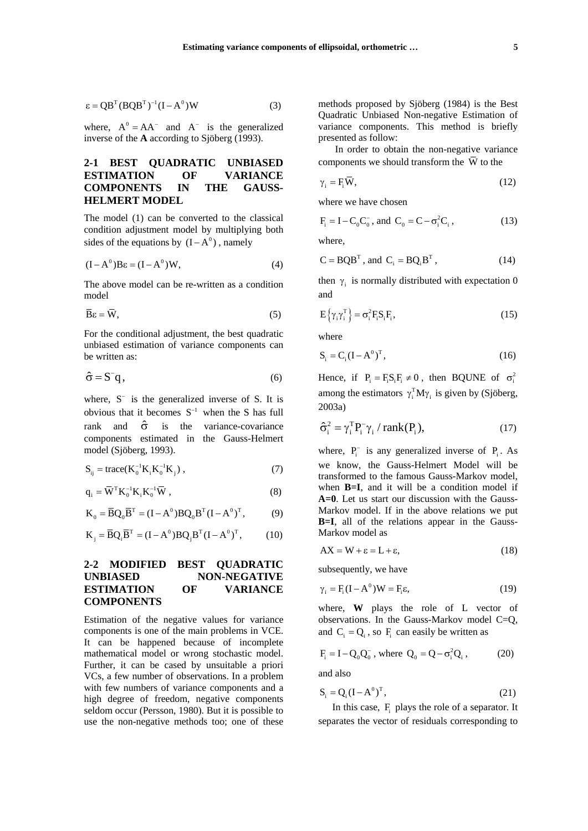$$
\varepsilon = QBT(BQBT)-1(I-A0)W
$$
 (3)

where,  $A^0 = AA^-$  and  $A^-$  is the generalized inverse of the **A** according to Sjöberg (1993).

# **2-1 BEST QUADRATIC UNBIASED ESTIMATION OF VARIANCE COMPONENTS IN THE GAUSS-HELMERT MODEL**

The model (1) can be converted to the classical condition adjustment model by multiplying both sides of the equations by  $(I - A^0)$ , namely

$$
(I - A0) B\epsilon = (I - A0) W,
$$
 (4)

The above model can be re-written as a condition model

$$
\overline{\mathbf{B}}\varepsilon = \overline{\mathbf{W}},\tag{5}
$$

For the conditional adjustment, the best quadratic unbiased estimation of variance components can be written as:

$$
\hat{\sigma} = S^{-}q, \qquad (6)
$$

where, S<sup>−</sup> is the generalized inverse of S. It is obvious that it becomes  $S^{-1}$  when the S has full rank and  $\hat{\sigma}$  is the variance-covariance components estimated in the Gauss-Helmert model (Sjöberg, 1993).

$$
S_{ij} = \text{trace}(K_0^{-1}K_iK_0^{-1}K_j), \qquad (7)
$$

$$
\mathbf{q}_{i} = \overline{\mathbf{W}}^{T} \mathbf{K}_{0}^{-1} \mathbf{K}_{i} \mathbf{K}_{0}^{-1} \overline{\mathbf{W}} , \qquad (8)
$$

$$
K_0 = \overline{B}Q_0 \overline{B}^{T} = (I - A^0)BQ_0 B^{T} (I - A^0)^{T},
$$
 (9)

$$
\mathbf{K}_{j} = \overline{\mathbf{B}} \mathbf{Q}_{i} \overline{\mathbf{B}}^{T} = (\mathbf{I} - \mathbf{A}^{0}) \mathbf{B} \mathbf{Q}_{j} \mathbf{B}^{T} (\mathbf{I} - \mathbf{A}^{0})^{T},
$$
 (10)

#### **2-2 MODIFIED BEST QUADRATIC UNBIASED NON-NEGATIVE ESTIMATION OF VARIANCE COMPONENTS**

Estimation of the negative values for variance components is one of the main problems in VCE. It can be happened because of incomplete mathematical model or wrong stochastic model. Further, it can be cased by unsuitable a priori VCs, a few number of observations. In a problem with few numbers of variance components and a high degree of freedom, negative components seldom occur (Persson, 1980). But it is possible to use the non-negative methods too; one of these methods proposed by Sjöberg (1984) is the Best Quadratic Unbiased Non-negative Estimation of variance components. This method is briefly presented as follow:

In order to obtain the non-negative variance components we should transform the  $\overline{W}$  to the

$$
\gamma_i = F_i \overline{W},\tag{12}
$$

where we have chosen

$$
F_i = I - C_0 C_0^-, \text{ and } C_0 = C - \sigma_i^2 C_i,
$$
 (13)

where,

$$
C = BQBT, and Ci = BQiBT, \t(14)
$$

then  $\gamma_i$  is normally distributed with expectation 0 and

$$
E\{\gamma_i\gamma_i^T\} = \sigma_i^2 F_i S_i F_i,
$$
\n(15)

where

$$
\mathbf{S}_{\mathbf{i}} = \mathbf{C}_{\mathbf{i}} (\mathbf{I} - \mathbf{A}^0)^{\mathrm{T}}, \tag{16}
$$

Hence, if  $P_i = F_i S_i F_i \neq 0$ , then BQUNE of  $\sigma_i^2$ among the estimators  $\gamma_i^T M \gamma_i$  is given by (Sjöberg, 2003a)

$$
\hat{\sigma}_i^2 = \gamma_i^T P_i^- \gamma_i / rank(P_i), \qquad (17)
$$

where,  $P_i^-$  is any generalized inverse of  $P_i$ . As we know, the Gauss-Helmert Model will be transformed to the famous Gauss-Markov model, when **B**=**I**, and it will be a condition model if **A=0**. Let us start our discussion with the Gauss-Markov model. If in the above relations we put **B=I**, all of the relations appear in the Gauss-Markov model as

$$
AX = W + \varepsilon = L + \varepsilon, \tag{18}
$$

subsequently, we have

$$
\gamma_i = F_i(I - A^0)W = F_i \varepsilon,\tag{19}
$$

where, **W** plays the role of L vector of observations. In the Gauss-Markov model C=Q, and  $C_i = Q_i$ , so F<sub>i</sub> can easily be written as

$$
F_i = I - Q_0 Q_0^-, \text{ where } Q_0 = Q - \sigma_i^2 Q_i, \qquad (20)
$$

and also

$$
\mathbf{S}_{i} = \mathbf{Q}_{i} (\mathbf{I} - \mathbf{A}^{0})^{\mathrm{T}}, \tag{21}
$$

In this case, F<sub>i</sub> plays the role of a separator. It separates the vector of residuals corresponding to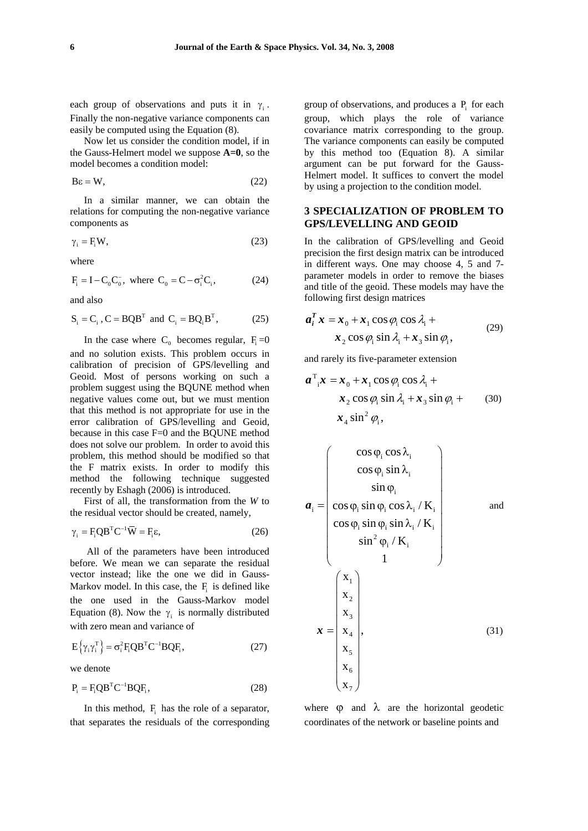each group of observations and puts it in  $\gamma$ . Finally the non-negative variance components can easily be computed using the Equation (8).

Now let us consider the condition model, if in the Gauss-Helmert model we suppose **A=0**, so the model becomes a condition model:

$$
B\epsilon = W,\t(22)
$$

In a similar manner, we can obtain the relations for computing the non-negative variance components as

$$
\gamma_i = F_i W,\tag{23}
$$

where

$$
\mathbf{F}_{\mathbf{i}} = \mathbf{I} - \mathbf{C}_{0} \mathbf{C}_{0}^{-}, \text{ where } \mathbf{C}_{0} = \mathbf{C} - \sigma_{\mathbf{i}}^{2} \mathbf{C}_{\mathbf{i}}, \tag{24}
$$

and also

$$
\mathbf{S}_{i} = \mathbf{C}_{i}, \mathbf{C} = \mathbf{B} \mathbf{Q} \mathbf{B}^{\mathrm{T}} \text{ and } \mathbf{C}_{i} = \mathbf{B} \mathbf{Q}_{i} \mathbf{B}^{\mathrm{T}}, \tag{25}
$$

In the case where  $C_0$  becomes regular,  $F_i = 0$ and no solution exists. This problem occurs in calibration of precision of GPS/levelling and Geoid. Most of persons working on such a problem suggest using the BQUNE method when negative values come out, but we must mention that this method is not appropriate for use in the error calibration of GPS/levelling and Geoid, because in this case F=0 and the BQUNE method does not solve our problem. In order to avoid this problem, this method should be modified so that the F matrix exists. In order to modify this method the following technique suggested recently by Eshagh (2006) is introduced.

First of all, the transformation from the *W* to the residual vector should be created, namely,

$$
\gamma_i = F_i Q B^T C^{-1} \overline{W} = F_i \varepsilon, \qquad (26)
$$

All of the parameters have been introduced before. We mean we can separate the residual vector instead; like the one we did in Gauss-Markov model. In this case, the  $F_i$  is defined like the one used in the Gauss-Markov model Equation (8). Now the  $\gamma_i$  is normally distributed with zero mean and variance of

$$
E\{\gamma_i\gamma_i^T\} = \sigma_i^2 F_i QB^TC^{-1}BQF_i,
$$
 (27)

we denote

$$
\mathbf{P}_{i} = \mathbf{F}_{i} \mathbf{Q} \mathbf{B}^{\mathrm{T}} \mathbf{C}^{-1} \mathbf{B} \mathbf{Q} \mathbf{F}_{i}, \qquad (28)
$$

In this method,  $F_i$  has the role of a separator, that separates the residuals of the corresponding group of observations, and produces a  $P_i$  for each group, which plays the role of variance covariance matrix corresponding to the group. The variance components can easily be computed by this method too (Equation 8). A similar argument can be put forward for the Gauss-Helmert model. It suffices to convert the model by using a projection to the condition model.

#### **3 SPECIALIZATION OF PROBLEM TO GPS/LEVELLING AND GEOID**

In the calibration of GPS/levelling and Geoid precision the first design matrix can be introduced in different ways. One may choose 4, 5 and 7 parameter models in order to remove the biases and title of the geoid. These models may have the following first design matrices

$$
a_i^T x = x_0 + x_1 \cos \varphi_i \cos \lambda_i + x_2 \cos \varphi_i \sin \lambda_i + x_3 \sin \varphi_i,
$$
 (29)

and rarely its five-parameter extension

$$
\boldsymbol{a}^{\mathrm{T}}_{i}\boldsymbol{x} = \boldsymbol{x}_{0} + \boldsymbol{x}_{1} \cos \varphi_{i} \cos \lambda_{i} + \boldsymbol{x}_{2} \cos \varphi_{i} \sin \lambda_{i} + \boldsymbol{x}_{3} \sin \varphi_{i} + \boldsymbol{x}_{4} \sin^{2} \varphi_{i},
$$
 (30)

$$
a_{i} = \begin{pmatrix} \cos \varphi_{i} \cos \lambda_{i} \\ \cos \varphi_{i} \sin \lambda_{i} \\ \sin \varphi_{i} \\ \cos \varphi_{i} \sin \varphi_{i} \cos \lambda_{i} / K_{i} \\ \cos \varphi_{i} \sin \varphi_{i} \sin \lambda_{i} / K_{i} \\ \sin^{2} \varphi_{i} / K_{i} \\ 1 \end{pmatrix}
$$
 and  

$$
\mathbf{x} = \begin{pmatrix} \mathbf{x}_{1} \\ \mathbf{x}_{2} \\ \mathbf{x}_{3} \\ \mathbf{x}_{4} \\ \mathbf{x}_{5} \\ \mathbf{x}_{6} \\ \mathbf{x}_{7} \end{pmatrix},
$$
 (31)

where  $\theta$  and  $\lambda$  are the horizontal geodetic coordinates of the network or baseline points and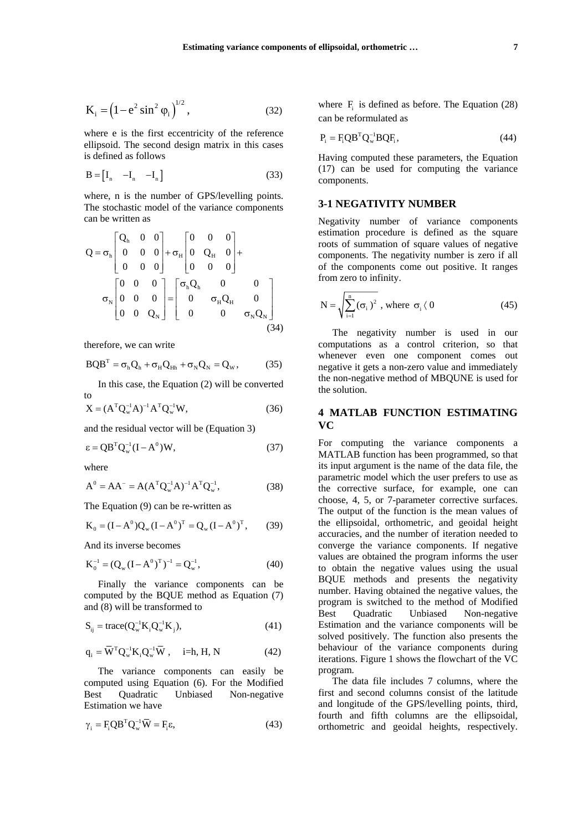$$
K_{i} = (1 - e^{2} \sin^{2} \varphi_{i})^{1/2}, \qquad (32)
$$

where e is the first eccentricity of the reference ellipsoid. The second design matrix in this cases is defined as follows

$$
\mathbf{B} = \begin{bmatrix} \mathbf{I}_n & -\mathbf{I}_n & -\mathbf{I}_n \end{bmatrix} \tag{33}
$$

where, n is the number of GPS/levelling points. The stochastic model of the variance components can be written as

$$
Q = \sigma_h \begin{bmatrix} Q_h & 0 & 0 \\ 0 & 0 & 0 \\ 0 & 0 & 0 \end{bmatrix} + \sigma_H \begin{bmatrix} 0 & 0 & 0 \\ 0 & Q_H & 0 \\ 0 & 0 & 0 \end{bmatrix} + \sigma_H \begin{bmatrix} 0 & 0 & 0 \\ 0 & Q_H & 0 \\ 0 & 0 & 0 \end{bmatrix}
$$

$$
\sigma_N \begin{bmatrix} 0 & 0 & 0 \\ 0 & 0 & 0 \\ 0 & 0 & Q_N \end{bmatrix} = \begin{bmatrix} \sigma_h Q_h & 0 & 0 \\ 0 & \sigma_H Q_H & 0 \\ 0 & 0 & \sigma_N Q_N \end{bmatrix}
$$
(34)

therefore, we can write

$$
BQB^{T} = \sigma_{h}Q_{h} + \sigma_{H}Q_{Hh} + \sigma_{N}Q_{N} = Q_{w}, \qquad (35)
$$

In this case, the Equation (2) will be converted

to  
\n
$$
X = (A^{T} Q_{w}^{-1} A)^{-1} A^{T} Q_{w}^{-1} W,
$$
\n(36)

and the residual vector will be (Equation 3)

$$
\varepsilon = QB^TQ_w^{-1}(I - A^0)W,\t(37)
$$

where

$$
A^{0} = AA^{-} = A(A^{T}Q_{w}^{-1}A)^{-1}A^{T}Q_{w}^{-1},
$$
\n(38)

The Equation (9) can be re-written as

$$
K_0 = (I - A^0) Q_w (I - A^0)^T = Q_w (I - A^0)^T, \qquad (39)
$$

And its inverse becomes

$$
K_0^{-1} = (Q_w (I - A^0)^T)^{-1} = Q_w^{-1},
$$
\n(40)

Finally the variance components can be computed by the BQUE method as Equation (7) and (8) will be transformed to

$$
S_{ij} = trace(Q_w^{-1}K_i Q_w^{-1}K_j),
$$
\n(41)

$$
\mathbf{q}_{i} = \overline{\mathbf{W}}^{\mathrm{T}} \mathbf{Q}_{w}^{-1} \mathbf{K}_{i} \mathbf{Q}_{w}^{-1} \overline{\mathbf{W}} , \quad i=h, H, N \tag{42}
$$

The variance components can easily be computed using Equation (6). For the Modified Best Quadratic Unbiased Non-negative Estimation we have

$$
\gamma_i = F_i Q B^T Q_w^{-1} \overline{W} = F_i \varepsilon, \qquad (43)
$$

where  $F_i$  is defined as before. The Equation (28) can be reformulated as

$$
\mathbf{P}_{i} = \mathbf{F}_{i} \mathbf{Q} \mathbf{B}^{\mathrm{T}} \mathbf{Q}_{w}^{-1} \mathbf{B} \mathbf{Q} \mathbf{F}_{i}, \qquad (44)
$$

Having computed these parameters, the Equation (17) can be used for computing the variance components.

## **3-1 NEGATIVITY NUMBER**

Negativity number of variance components estimation procedure is defined as the square roots of summation of square values of negative components. The negativity number is zero if all of the components come out positive. It ranges from zero to infinity.

$$
N = \sqrt{\sum_{i=1}^{n} (\sigma_i)^2}
$$
, where  $\sigma_i \langle 0 \rangle$  (45)

The negativity number is used in our computations as a control criterion, so that whenever even one component comes out negative it gets a non-zero value and immediately the non-negative method of MBQUNE is used for the solution.

# **4 MATLAB FUNCTION ESTIMATING VC**

For computing the variance components a MATLAB function has been programmed, so that its input argument is the name of the data file, the parametric model which the user prefers to use as the corrective surface, for example, one can choose, 4, 5, or 7-parameter corrective surfaces. The output of the function is the mean values of the ellipsoidal, orthometric, and geoidal height accuracies, and the number of iteration needed to converge the variance components. If negative values are obtained the program informs the user to obtain the negative values using the usual BQUE methods and presents the negativity number. Having obtained the negative values, the program is switched to the method of Modified Best Quadratic Unbiased Non-negative Estimation and the variance components will be solved positively. The function also presents the behaviour of the variance components during iterations. Figure 1 shows the flowchart of the VC program.

The data file includes 7 columns, where the first and second columns consist of the latitude and longitude of the GPS/levelling points, third, fourth and fifth columns are the ellipsoidal, orthometric and geoidal heights, respectively.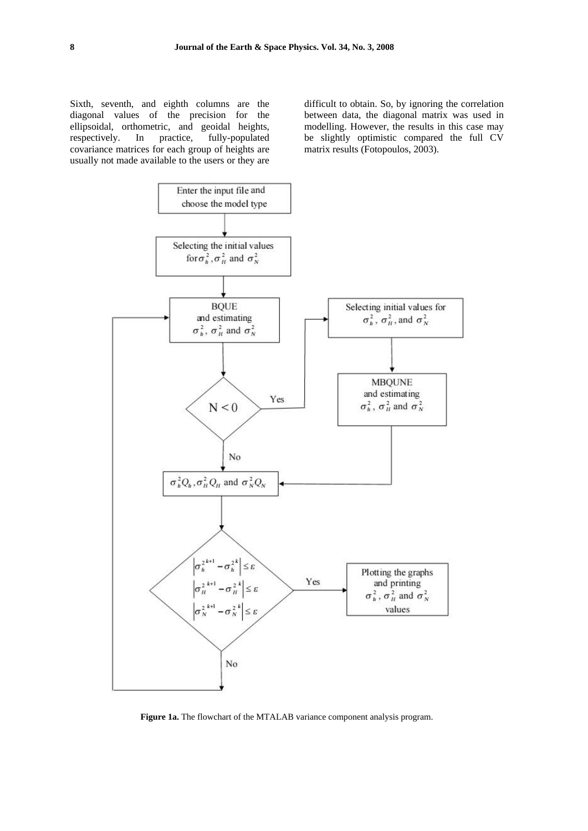Sixth, seventh, and eighth columns are the diagonal values of the precision for the ellipsoidal, orthometric, and geoidal heights, respectively. In practice, fully-populated covariance matrices for each group of heights are usually not made available to the users or they are difficult to obtain. So, by ignoring the correlation between data, the diagonal matrix was used in modelling. However, the results in this case may be slightly optimistic compared the full CV matrix results (Fotopoulos, 2003).



**Figure 1a.** The flowchart of the MTALAB variance component analysis program.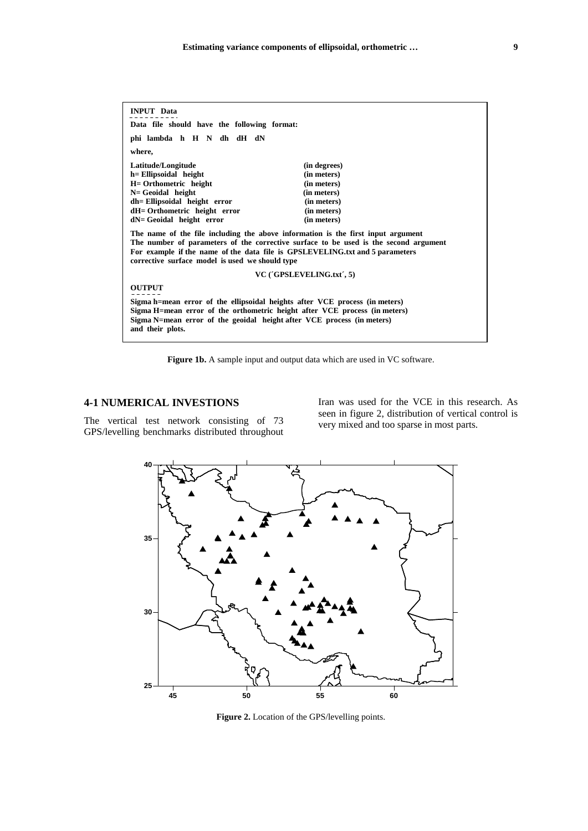| <b>INPUT</b> Data                                                                                                                                                                                                                                                                                           |              |  |  |  |  |  |  |
|-------------------------------------------------------------------------------------------------------------------------------------------------------------------------------------------------------------------------------------------------------------------------------------------------------------|--------------|--|--|--|--|--|--|
| Data file should have the following format:                                                                                                                                                                                                                                                                 |              |  |  |  |  |  |  |
| phi lambda h H N dh dH dN                                                                                                                                                                                                                                                                                   |              |  |  |  |  |  |  |
| where,                                                                                                                                                                                                                                                                                                      |              |  |  |  |  |  |  |
| Latitude/Longitude                                                                                                                                                                                                                                                                                          | (in degrees) |  |  |  |  |  |  |
| h = Ellipsoidal height                                                                                                                                                                                                                                                                                      | (in meters)  |  |  |  |  |  |  |
| H= Orthometric height                                                                                                                                                                                                                                                                                       | (in meters)  |  |  |  |  |  |  |
| $N = Geoidal$ height                                                                                                                                                                                                                                                                                        | (in meters)  |  |  |  |  |  |  |
| dh= Ellipsoidal height error                                                                                                                                                                                                                                                                                | (in meters)  |  |  |  |  |  |  |
| dH= Orthometric height error                                                                                                                                                                                                                                                                                | (in meters)  |  |  |  |  |  |  |
| dN= Geoidal height error                                                                                                                                                                                                                                                                                    | (in meters)  |  |  |  |  |  |  |
| The name of the file including the above information is the first input argument<br>The number of parameters of the corrective surface to be used is the second argument<br>For example if the name of the data file is GPSLEVELING.txt and 5 parameters<br>corrective surface model is used we should type |              |  |  |  |  |  |  |
| VC ('GPSLEVELING.txt', 5)                                                                                                                                                                                                                                                                                   |              |  |  |  |  |  |  |
| <b>OUTPUT</b>                                                                                                                                                                                                                                                                                               |              |  |  |  |  |  |  |
| Sigma h=mean error of the ellipsoidal heights after VCE process (in meters)<br>Sigma H=mean error of the orthometric height after VCE process (in meters)<br>Sigma N=mean error of the geoidal height after VCE process (in meters)<br>and their plots.                                                     |              |  |  |  |  |  |  |

Figure 1b. A sample input and output data which are used in VC software.

## **4-1 NUMERICAL INVESTIONS**

The vertical test network consisting of 73 GPS/levelling benchmarks distributed throughout Iran was used for the VCE in this research. As seen in figure 2, distribution of vertical control is very mixed and too sparse in most parts.



**Figure 2.** Location of the GPS/levelling points.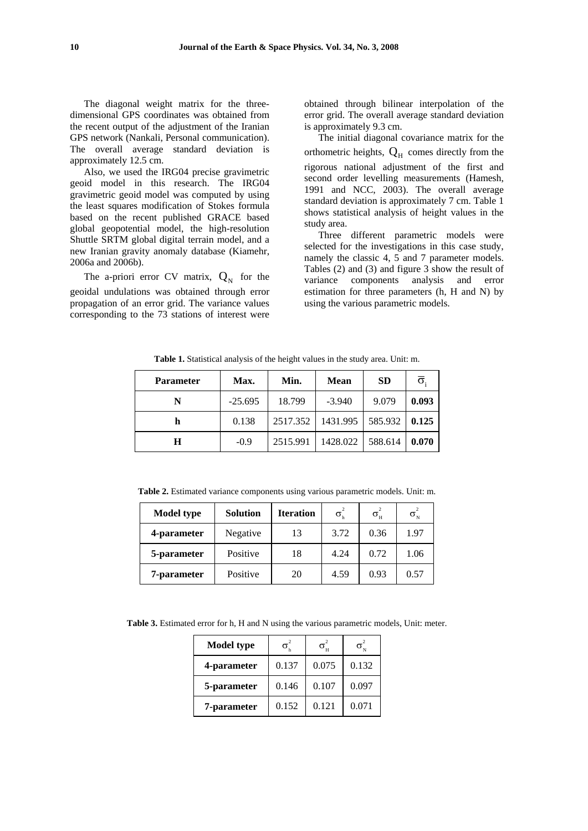The diagonal weight matrix for the threedimensional GPS coordinates was obtained from the recent output of the adjustment of the Iranian GPS network (Nankali, Personal communication). The overall average standard deviation is approximately 12.5 cm.

Also, we used the IRG04 precise gravimetric geoid model in this research. The IRG04 gravimetric geoid model was computed by using the least squares modification of Stokes formula based on the recent published GRACE based global geopotential model, the high-resolution Shuttle SRTM global digital terrain model, and a new Iranian gravity anomaly database (Kiamehr, 2006a and 2006b).

The a-priori error CV matrix,  $Q_N$  for the geoidal undulations was obtained through error propagation of an error grid. The variance values corresponding to the 73 stations of interest were obtained through bilinear interpolation of the error grid. The overall average standard deviation is approximately 9.3 cm.

The initial diagonal covariance matrix for the orthometric heights,  $Q_H$  comes directly from the rigorous national adjustment of the first and second order levelling measurements (Hamesh, 1991 and NCC, 2003). The overall average standard deviation is approximately 7 cm. Table 1 shows statistical analysis of height values in the study area.

Three different parametric models were selected for the investigations in this case study, namely the classic 4, 5 and 7 parameter models. Tables (2) and (3) and figure 3 show the result of variance components analysis and error estimation for three parameters (h, H and N) by using the various parametric models.

**Table 1.** Statistical analysis of the height values in the study area. Unit: m.

| <b>Parameter</b> | Max.      | Min.     | <b>Mean</b> | <b>SD</b> | $\overline{\sigma}_i$ |
|------------------|-----------|----------|-------------|-----------|-----------------------|
| N                | $-25.695$ | 18.799   | $-3.940$    | 9.079     | 0.093                 |
| h                | 0.138     | 2517.352 | 1431.995    | 585.932   | 0.125                 |
| Н                | $-0.9$    | 2515.991 | 1428.022    | 588.614   | 0.070                 |

**Table 2.** Estimated variance components using various parametric models. Unit: m.

| <b>Model type</b> | <b>Solution</b> | <b>Iteration</b> | $\sigma_{\rm h}^2$ | $\sigma_{\rm H}^2$ | $\sigma_N^2$ |
|-------------------|-----------------|------------------|--------------------|--------------------|--------------|
| 4-parameter       | Negative        | 13               | 3.72               | 0.36               | 1.97         |
| 5-parameter       | Positive        | 18               | 4.24               | 0.72               | 1.06         |
| 7-parameter       | Positive        | 20               | 4.59               | 0.93               | 0.57         |

**Table 3.** Estimated error for h, H and N using the various parametric models, Unit: meter.

| <b>Model type</b> | $\sigma_{\rm h}^2$ | $\sigma_{\rm H}^2$ | $\sigma_{\scriptscriptstyle \mathrm{N}}^{\scriptscriptstyle \mathrm{c}}$ |
|-------------------|--------------------|--------------------|--------------------------------------------------------------------------|
| 4-parameter       | 0.137              | 0.075              | 0.132                                                                    |
| 5-parameter       | 0.146              | 0.107              | 0.097                                                                    |
| 7-parameter       | 0.152              | 0.121              | 0.071                                                                    |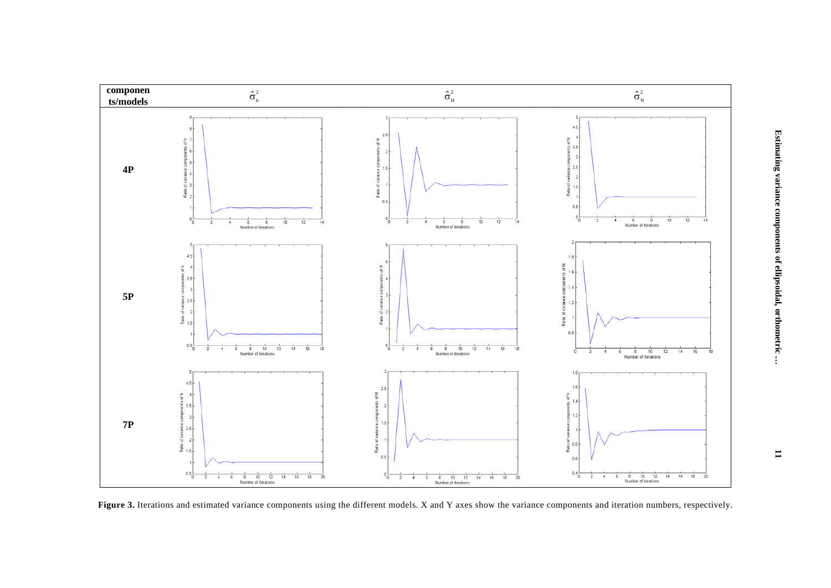

Figure 3. Iterations and estimated variance components using the different models. X and Y axes show the variance components and iteration numbers, respectively.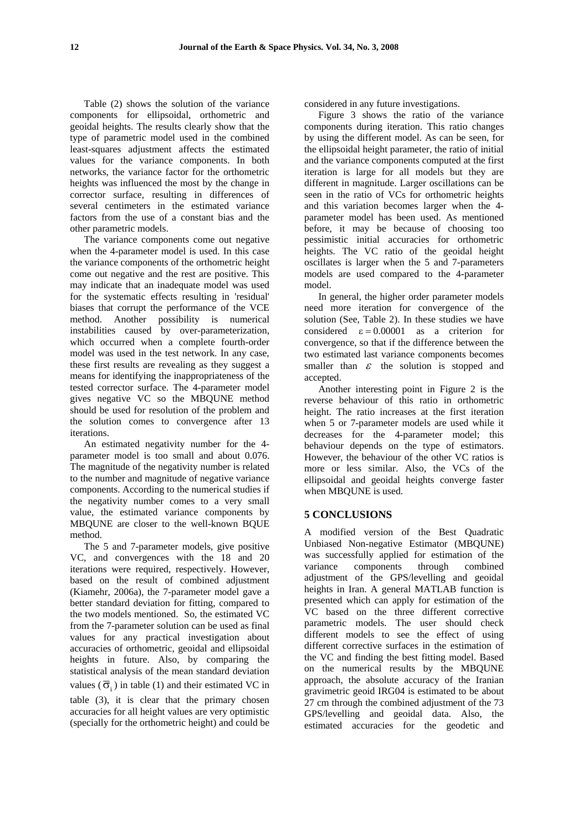Table (2) shows the solution of the variance components for ellipsoidal, orthometric and geoidal heights. The results clearly show that the type of parametric model used in the combined least-squares adjustment affects the estimated values for the variance components. In both networks, the variance factor for the orthometric heights was influenced the most by the change in corrector surface, resulting in differences of several centimeters in the estimated variance factors from the use of a constant bias and the other parametric models.

The variance components come out negative when the 4-parameter model is used. In this case the variance components of the orthometric height come out negative and the rest are positive. This may indicate that an inadequate model was used for the systematic effects resulting in 'residual' biases that corrupt the performance of the VCE method. Another possibility is numerical instabilities caused by over-parameterization, which occurred when a complete fourth-order model was used in the test network. In any case, these first results are revealing as they suggest a means for identifying the inappropriateness of the tested corrector surface. The 4-parameter model gives negative VC so the MBQUNE method should be used for resolution of the problem and the solution comes to convergence after 13 iterations.

An estimated negativity number for the 4 parameter model is too small and about 0.076. The magnitude of the negativity number is related to the number and magnitude of negative variance components. According to the numerical studies if the negativity number comes to a very small value, the estimated variance components by MBQUNE are closer to the well-known BQUE method.

The 5 and 7-parameter models, give positive VC, and convergences with the 18 and 20 iterations were required, respectively. However, based on the result of combined adjustment (Kiamehr, 2006a), the 7-parameter model gave a better standard deviation for fitting, compared to the two models mentioned. So, the estimated VC from the 7-parameter solution can be used as final values for any practical investigation about accuracies of orthometric, geoidal and ellipsoidal heights in future. Also, by comparing the statistical analysis of the mean standard deviation values ( $\overline{6}$ ;) in table (1) and their estimated VC in table (3), it is clear that the primary chosen accuracies for all height values are very optimistic (specially for the orthometric height) and could be

considered in any future investigations.

Figure 3 shows the ratio of the variance components during iteration. This ratio changes by using the different model. As can be seen, for the ellipsoidal height parameter, the ratio of initial and the variance components computed at the first iteration is large for all models but they are different in magnitude. Larger oscillations can be seen in the ratio of VCs for orthometric heights and this variation becomes larger when the 4 parameter model has been used. As mentioned before, it may be because of choosing too pessimistic initial accuracies for orthometric heights. The VC ratio of the geoidal height oscillates is larger when the 5 and 7-parameters models are used compared to the 4-parameter model.

In general, the higher order parameter models need more iteration for convergence of the solution (See, Table 2). In these studies we have considered  $\epsilon = 0.00001$  as a criterion for convergence, so that if the difference between the two estimated last variance components becomes smaller than  $\varepsilon$  the solution is stopped and accepted.

Another interesting point in Figure 2 is the reverse behaviour of this ratio in orthometric height. The ratio increases at the first iteration when 5 or 7-parameter models are used while it decreases for the 4-parameter model; this behaviour depends on the type of estimators. However, the behaviour of the other VC ratios is more or less similar. Also, the VCs of the ellipsoidal and geoidal heights converge faster when MBQUNE is used.

#### **5 CONCLUSIONS**

A modified version of the Best Quadratic Unbiased Non-negative Estimator (MBQUNE) was successfully applied for estimation of the variance components through combined adjustment of the GPS/levelling and geoidal heights in Iran. A general MATLAB function is presented which can apply for estimation of the VC based on the three different corrective parametric models. The user should check different models to see the effect of using different corrective surfaces in the estimation of the VC and finding the best fitting model. Based on the numerical results by the MBQUNE approach, the absolute accuracy of the Iranian gravimetric geoid IRG04 is estimated to be about 27 cm through the combined adjustment of the 73 GPS/levelling and geoidal data. Also, the estimated accuracies for the geodetic and